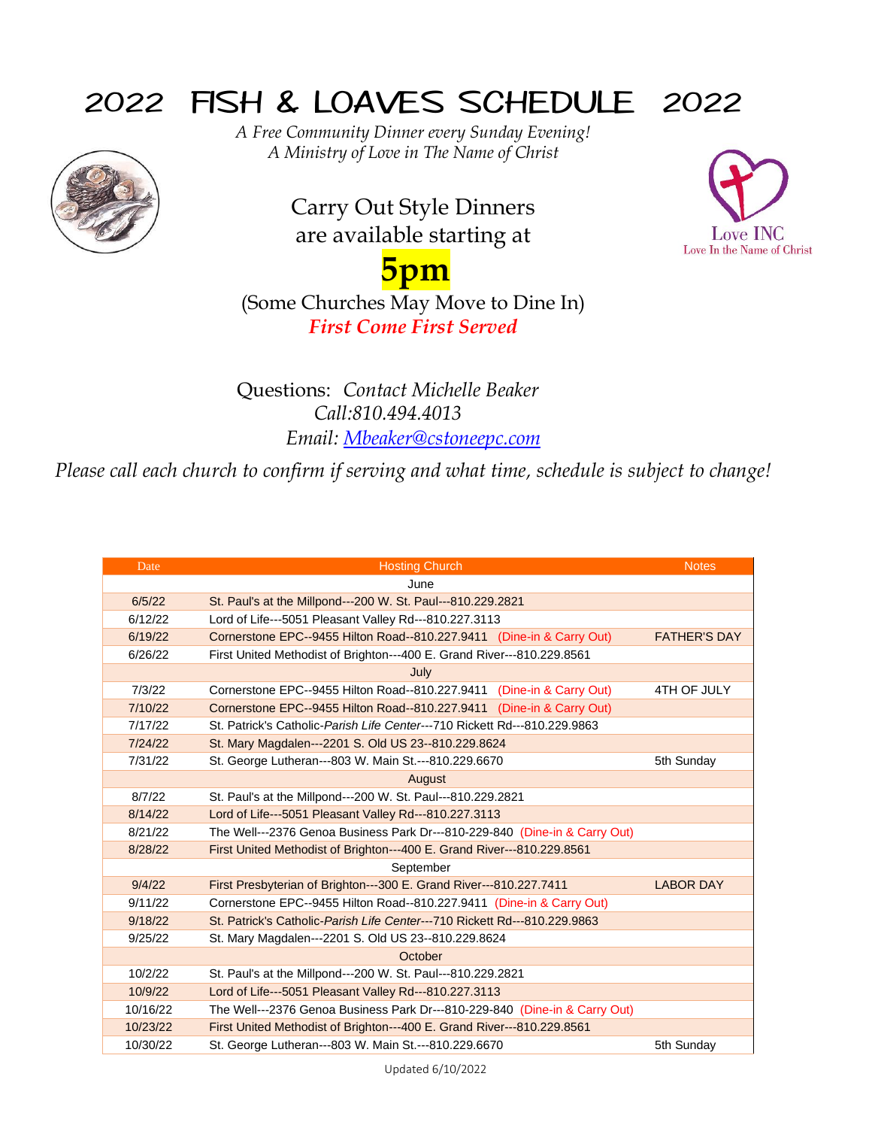## 2022 FISH & LOAVES SCHEDULE 2022



*A Free Community Dinner every Sunday Evening! A Ministry of Love in The Name of Christ*

> Carry Out Style Dinners are available starting at



## **5pm**

(Some Churches May Move to Dine In) *First Come First Served*

Questions: *Contact Michelle Beaker Call:810.494.4013 Email: [Mbeaker@cstoneepc.com](mailto:Mbeaker@cstoneepc.com)*

*Please call each church to confirm if serving and what time, schedule is subject to change!*

| Date     | <b>Hosting Church</b>                                                                  | <b>Notes</b>        |  |
|----------|----------------------------------------------------------------------------------------|---------------------|--|
|          | June                                                                                   |                     |  |
| 6/5/22   | St. Paul's at the Millpond---200 W. St. Paul---810.229.2821                            |                     |  |
| 6/12/22  | Lord of Life---5051 Pleasant Valley Rd---810.227.3113                                  |                     |  |
| 6/19/22  | Cornerstone EPC--9455 Hilton Road--810.227.9411 (Dine-in & Carry Out)                  | <b>FATHER'S DAY</b> |  |
| 6/26/22  | First United Methodist of Brighton---400 E. Grand River---810.229.8561                 |                     |  |
|          | July                                                                                   |                     |  |
| 7/3/22   | Cornerstone EPC--9455 Hilton Road--810.227.9411 (Dine-in & Carry Out)                  | 4TH OF JULY         |  |
| 7/10/22  | Cornerstone EPC--9455 Hilton Road--810.227.9411 (Dine-in & Carry Out)                  |                     |  |
| 7/17/22  | St. Patrick's Catholic-Parish Life Center---710 Rickett Rd---810.229.9863              |                     |  |
| 7/24/22  | St. Mary Magdalen---2201 S. Old US 23--810.229.8624                                    |                     |  |
| 7/31/22  | St. George Lutheran---803 W. Main St.---810.229.6670                                   | 5th Sunday          |  |
|          | August                                                                                 |                     |  |
| 8/7/22   | St. Paul's at the Millpond---200 W. St. Paul---810.229.2821                            |                     |  |
| 8/14/22  | Lord of Life---5051 Pleasant Valley Rd---810.227.3113                                  |                     |  |
| 8/21/22  | The Well---2376 Genoa Business Park Dr---810-229-840 (Dine-in & Carry Out)             |                     |  |
| 8/28/22  | First United Methodist of Brighton---400 E. Grand River---810.229.8561                 |                     |  |
|          | September                                                                              |                     |  |
| 9/4/22   | <b>LABOR DAY</b><br>First Presbyterian of Brighton---300 E. Grand River---810.227.7411 |                     |  |
| 9/11/22  | Cornerstone EPC--9455 Hilton Road--810.227.9411 (Dine-in & Carry Out)                  |                     |  |
| 9/18/22  | St. Patrick's Catholic-Parish Life Center---710 Rickett Rd---810.229.9863              |                     |  |
| 9/25/22  | St. Mary Magdalen---2201 S. Old US 23--810.229.8624                                    |                     |  |
|          | October                                                                                |                     |  |
| 10/2/22  | St. Paul's at the Millpond---200 W. St. Paul---810.229.2821                            |                     |  |
| 10/9/22  | Lord of Life---5051 Pleasant Valley Rd---810.227.3113                                  |                     |  |
| 10/16/22 | The Well---2376 Genoa Business Park Dr---810-229-840 (Dine-in & Carry Out)             |                     |  |
| 10/23/22 | First United Methodist of Brighton---400 E. Grand River---810.229.8561                 |                     |  |
| 10/30/22 | St. George Lutheran---803 W. Main St.---810.229.6670<br>5th Sunday                     |                     |  |